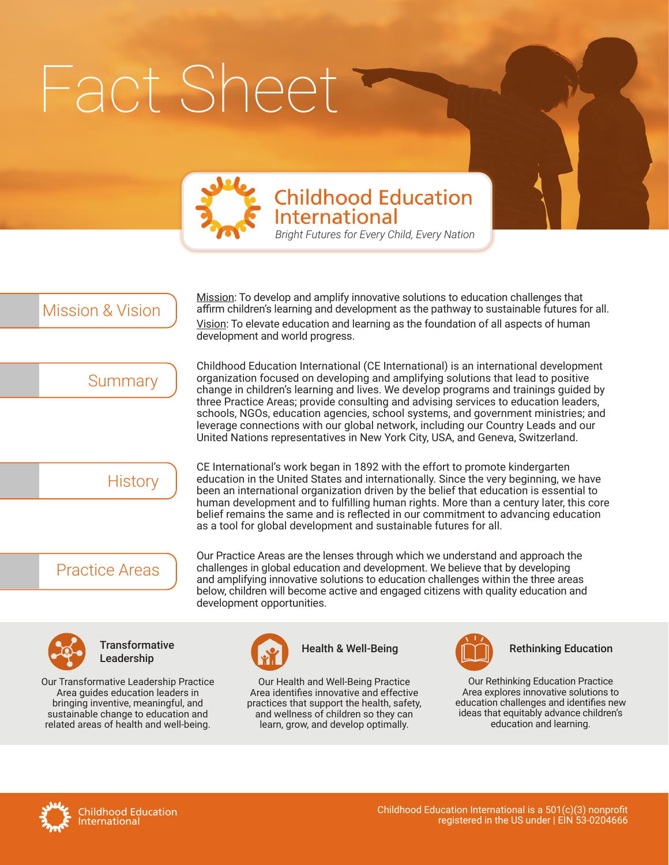# Fact Sheet



## **Childhood Education International**

*Bright Futures for Every Child, Every Nation*

Mission & Vision

Mission: To develop and amplify innovative solutions to education challenges that affirm children's learning and development as the pathway to sustainable futures for all. Vision: To elevate education and learning as the foundation of all aspects of human development and world progress.

**Summary** 

Childhood Education International (CE International) is an international development organization focused on developing and amplifying solutions that lead to positive change in children's learning and lives. We develop programs and trainings guided by three Practice Areas; provide consulting and advising services to education leaders, schools, NGOs, education agencies, school systems, and government ministries; and leverage connections with our global network, including our Country Leads and our United Nations representatives in New York City, USA, and Geneva, Switzerland.



CE International's work began in 1892 with the effort to promote kindergarten education in the United States and internationally. Since the very beginning, we have been an international organization driven by the belief that education is essential to human development and to fulfilling human rights. More than a century later, this core belief remains the same and is reflected in our commitment to advancing education as a tool for global development and sustainable futures for all.

## Practice Areas

Our Practice Areas are the lenses through which we understand and approach the challenges in global education and development. We believe that by developing and amplifying innovative solutions to education challenges within the three areas below, children will become active and engaged citizens with quality education and development opportunities.



**Transformative Leadership Manual Rethinking Education**<br>Leadership

Our Transformative Leadership Practice Area guides education leaders in bringing inventive, meaningful, and sustainable change to education and related areas of health and well-being.



Our Health and Well-Being Practice Area identifies innovative and effective practices that support the health, safety, and wellness of children so they can learn, grow, and develop optimally.



Our Rethinking Education Practice Area explores innovative solutions to education challenges and identifies new ideas that equitably advance children's education and learning.